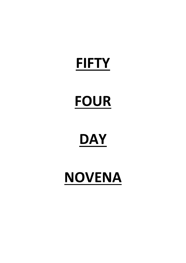## **FIFTY**

# **FOUR**

# **DAY**

# **NOVENA**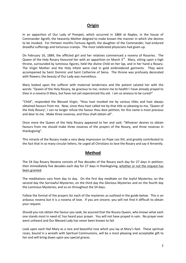### **Origin**

In an apparition of Our Lady of Pompeii, which occurred in 1884 at Naples, in the house of Commander Agrelli, the heavenly Mother deigned to make known the manner in which she desires to be invoked. For thirteen months Fortuna Agrelli, the daughter of the Commander, had endured dreadful sufferings and torturous cramps. The most celebrated physicians had given up.

On February 16, 1884, the afflicted girl and her relatives commenced a novena of Rosaries. The Queen of the Holy Rosary favoured her with an apparition on March 3<sup>rd</sup>. Mary, sitting upon a high throne, surrounded by luminous figures, held the divine Child on her lap, and in her hand a Rosary. The Virgin Mother and the Holy Infant were clad in gold embroidered garments. They were accompanied by Saint Dominic and Saint Catherine of Siena. The throne was profusely decorated with flowers; the beauty of Our Lady was marvellous.

Mary looked upon the sufferer with maternal tenderness and the patient saluted her with the words: "Queen of the Holy Rosary, be gracious to me; restore me to health! I have already prayed to thee in a novena O Mary, but have not yet experienced thy aid. I am so anxious to be cured!"

"Child", responded the Blessed Virgin, "thou hast invoked me by various titles and hast always obtained favours from me. Now, since thou hast called me by that title so pleasing to me, 'Queen of the Holy Rosary', I can no longer refuse the favour thou dost petition; for this name is most precious and dear to me. Make three novenas, and thou shalt obtain all".

Once more the Queen of the Holy Rosary appeared to her and said: "Whoever desires to obtain favours from me should make three novenas of the prayers of the Rosary, and three novenas in thanksgiving".

This miracle of the Rosary made a very deep impression on Pope Leo XIII, and greatly contributed to the fact that in so many circular letters, he urged all Christians to love the Rosary and say it fervently.

### **Method**

The 54 Day Rosary Novena consists of five decades of the Rosary each day for 27 days in petition; then immediately five decades each day for 27 days in thanksgiving, whether or not the request has been granted.

The meditations vary from day to day. On the first day meditate on the Joyful Mysteries; on the second day the Sorrowful Mysteries; on the third day the Glorious Mysteries and on the fourth day the Luminous Mysteries; and so on throughout the 54 days.

Follow the format of the prayers for each of the mysteries as outlined in the guide below. This is an arduous novena but it is a novena of love. If you are sincere, you will not find it difficult to obtain your request.

Should you not obtain the favour you seek, be assured that the Rosary Queen, who knows what each one stands most in need of, has heard your prayer. You will not have prayed in vain. No prayer ever went unheard and Our Blessed Lady has never been known to fail.

Look upon each Hail Mary as a rare and beautiful rose which you lay at Mary's feet. These spiritual roses, bound in a wreath with Spiritual Communions, will be a most pleasing and acceptable gift to her and will bring down upon you special graces.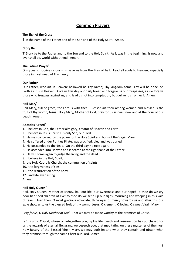### **Common Prayers**

#### **The Sign of the Cross**

Ϯ In the name of the Father and of the Son and of the Holy Spirit. Amen.

#### **Glory Be**

Ϯ Glory be to the Father and to the Son and to the Holy Spirit. As it was in the beginning, is now and ever shall be, world without end. Amen.

#### **The Fatima Prayer<sup>i</sup>**

O my Jesus, forgive us our sins, save us from the fires of hell. Lead all souls to Heaven, especially those in most need of Thy mercy.

#### **Our Father**

Our Father, who art in Heaven; hallowed be Thy Name; Thy kingdom come; Thy will be done, on Earth as it is in Heaven. Give us this day our daily bread and forgive us our trespasses, as we forgive those who trespass against us; and lead us not into temptation, but deliver us from evil. Amen.

#### **Hail Maryii**

Hail Mary, full of grace, the Lord is with thee. Blessed art thou among women and blessed is the fruit of thy womb, Jesus. Holy Mary, Mother of God, pray for us sinners, now and at the hour of our death. Amen.

#### **Apostles' Creediii**

- 1. I believe in God, the Father almighty, creator of Heaven and Earth.
- 2. I believe in Jesus Christ, His only Son, our Lord.
- 3. He was conceived by the power of the Holy Spirit and born of the Virgin Mary.
- 4. He suffered under Pontius Pilate, was crucified, died and was buried.
- 5. He descended to the dead. On the third day He rose again.
- 6. He ascended into Heaven and is seated at the right hand of the Father.
- 7. He will come again to judge the living and the dead.
- 8. I believe in the Holy Spirit,
- 9. the Holy Catholic Church, the communion of saints,
- 10. the forgiveness of sins,
- 11. the resurrection of the body,
- 12. and life everlasting.

Amen.

#### **Hail Holy Queeniv**

Hail, Holy Queen, Mother of Mercy, hail our life, our sweetness and our hope! To thee do we cry poor banished children of Eve; to thee do we send up our sighs, mourning and weeping in this vale of tears. Turn then, O most gracious advocate, thine eyes of mercy towards us and after this our exile show unto us the blessed fruit of thy womb, Jesus; O clement, O loving, O sweet Virgin Mary.

*Pray for us, O Holy Mother of God.* That we may be made worthy of the promises of Christ.

*Let us pray:* O God, whose only-begotten Son, by His life, death and resurrection has purchased for us the rewards of eternal life; grant, we beseech you, that meditating on these mysteries of the most Holy Rosary of the Blessed Virgin Mary, we may both imitate what they contain and obtain what they promise, through the same Christ our Lord. Amen.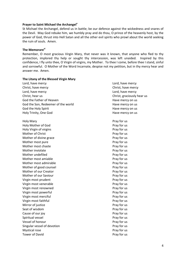#### **Prayer to Saint Michael the Archangel<sup>v</sup>**

St Michael the Archangel, defend us in battle; be our defence against the wickedness and snares of the Devil. May God rebuke him, we humbly pray and do thou, O prince of the heavenly host, by the power of God, thrust into Hell Satan and all the other evil spirits who prowl about the world seeking the ruin of souls. Amen.

#### **The Memorarevi**

Remember, O most gracious Virgin Mary, that never was it known, that anyone who fled to thy protection, implored thy help or sought thy intercession, was left unaided. Inspired by this confidence, I fly unto thee, O Virgin of virgins, my Mother. To thee I come, before thee I stand, sinful and sorrowful. O Mother of the Word Incarnate, despise not my petition, but in thy mercy hear and answer me. Amen.

| The Litany of the Blessed Virgin Mary |                            |
|---------------------------------------|----------------------------|
| Lord, have mercy                      | Lord, have mercy           |
| Christ, have mercy                    | Christ, have mercy         |
| Lord, have mercy                      | Lord, have mercy           |
| Christ, hear us                       | Christ, graciously hear us |
| God the Father of Heaven              | Have mercy on us           |
| God the Son, Redeemer of the world    | Have mercy on us           |
| God the Holy Spirit                   | Have mercy on us           |
| Holy Trinity, One God                 | Have mercy on us           |
| <b>Holy Mary</b>                      | Pray for us                |
| Holy Mother of God                    | Pray for us                |
| Holy Virgin of virgins                | Pray for us                |
| Mother of Christ                      | Pray for us                |
| Mother of divine grace                | Pray for us                |
| Mother most pure                      | Pray for us                |
| Mother most chaste                    | Pray for us                |
| Mother inviolate                      | Pray for us                |
| Mother undefiled                      | Pray for us                |
| Mother most amiable                   | Pray for us                |
| Mother most admirable                 | Pray for us                |
| Mother of good counsel                | Pray for us                |
| Mother of our Creator                 | Pray for us                |
| Mother of our Saviour                 | Pray for us                |
| Virgin most prudent                   | Pray for us                |
| Virgin most venerable                 | Pray for us                |
| Virgin most renowned                  | Pray for us                |
| Virgin most powerful                  | Pray for us                |
| Virgin most merciful                  | Pray for us                |
| Virgin most faithful                  | Pray for us                |
| Mirror of justice                     | Pray for us                |
| Seat of wisdom                        | Pray for us                |
| Cause of our joy                      | Pray for us                |
| Spiritual vessel                      | Pray for us                |
| Vessel of honour                      | Pray for us                |
| Singular vessel of devotion           | Pray for us                |
| Mystical rose                         | Pray for us                |
| <b>Tower of David</b>                 | Pray for us                |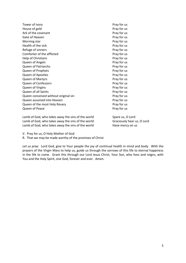| Tower of ivory                       | Pray for us |
|--------------------------------------|-------------|
| House of gold                        | Pray for us |
| Ark of the covenant                  | Pray for us |
| Gate of Heaven                       | Pray for us |
| Morning star                         | Pray for us |
| Health of the sick                   | Pray for us |
| Refuge of sinners                    | Pray for us |
| Comforter of the afflicted           | Pray for us |
| Help of Christians                   | Pray for us |
| Queen of Angels                      | Pray for us |
| <b>Queen of Patriarchs</b>           | Pray for us |
| Queen of Prophets                    | Pray for us |
| Queen of Apostles                    | Pray for us |
| Queen of Martyrs                     | Pray for us |
| <b>Queen of Confessors</b>           | Pray for us |
| Queen of Virgins                     | Pray for us |
| Queen of all Saints                  | Pray for us |
| Queen conceived without original sin | Pray for us |
| Queen assumed into Heaven            | Pray for us |
| Queen of the most Holy Rosary        | Pray for us |
| Queen of Peace                       | Pray for us |
|                                      |             |

Lamb of God, who takes away the sins of the world Spare us, O Lord Lamb of God, who takes away the sins of the world Graciously hear us, O Lord Lamb of God, who takes away the sins of the world Have mercy on us

V. Pray for us, O Holy Mother of God

R. That we may be made worthy of the promises of Christ

*Let us pray:* Lord God, give to Your people the joy of continual health in mind and body. With the prayers of the Virgin Mary to help us, guide us through the sorrows of this life to eternal happiness in the life to come. Grant this through our Lord Jesus Christ, Your Son, who lives and reigns, with You and the Holy Spirit, one God, forever and ever. Amen.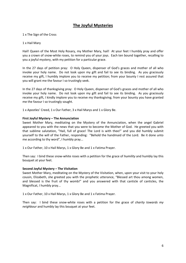## **The Joyful Mysteries**

1 x The Sign of the Cross

#### 1 x Hail Mary

Hail! Queen of the Most Holy Rosary, my Mother Mary, hail! At your feet I humbly pray and offer you a crown of snow-white roses, to remind you of your joys. Each ten bound together, recalling to you a joyful mystery, with my petition for a particular grace.

In the 27 days of petition pray: O Holy Queen, dispenser of God's graces and mother of all who invoke your holy name. Do not look upon my gift and fail to see its binding. As you graciously receive my gift, I humbly implore you to receive my petition; from your bounty I rest assured that you will grant me the favour I so trustingly seek.

In the 27 days of thanksgiving pray: O Holy Queen, dispenser of God's graces and mother of all who invoke your holy name. Do not look upon my gift and fail to see its binding. As you graciously receive my gift, I kindly implore you to receive my thanksgiving; from your bounty you have granted me the favour I so trustingly sought.

1 x Apostles' Creed, 1 x Our Father, 3 x Hail Marys and 1 x Glory Be.

#### **First Joyful Mystery – The Annunciation**

Sweet Mother Mary, meditating on the Mystery of the Annunciation, when the angel Gabriel appeared to you with the news that you were to become the Mother of God. He greeted you with that sublime salutation, "Hail, full of grace! The Lord is with thee!" and you did humbly submit yourself to the will of the Father, responding: "Behold the handmaid of the Lord. Be it done unto me according to thy word", I humbly pray...

1 x Our Father, 10 x Hail Marys, 1 x Glory Be and 1 x Fatima Prayer.

Then say: I bind these snow-white roses with a petition for the grace of *humility* and humbly lay this bouquet at your feet.

#### **Second Joyful Mystery – The Visitation**

Sweet Mother Mary, meditating on the Mystery of the Visitation, when, upon your visit to your holy cousin, Elizabeth, she greeted you with the prophetic utterance, "Blessed art thou among women, and blessed is the fruit of thy womb!" and you answered with that canticle of canticles, the Magnificat, I humbly pray...

1 x Our Father, 10 x Hail Marys, 1 x Glory Be and 1 x Fatima Prayer.

Then say: I bind these snow-white roses with a petition for the grace of *charity towards my neighbour* and humbly lay this bouquet at your feet.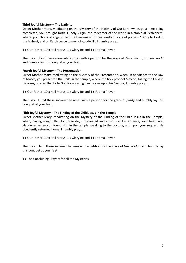#### **Third Joyful Mystery – The Nativity**

Sweet Mother Mary, meditating on the Mystery of the Nativity of Our Lord, when, your time being completed, you brought forth, O holy Virgin, the redeemer of the world in a stable at Bethlehem; whereupon choirs of angels filled the Heavens with their exultant song of praise – "Glory to God in the highest, and on Earth peace to men of goodwill", I humbly pray...

1 x Our Father, 10 x Hail Marys, 1 x Glory Be and 1 x Fatima Prayer.

Then say: I bind these snow-white roses with a petition for the grace of *detachment from the world* and humbly lay this bouquet at your feet.

#### **Fourth Joyful Mystery – The Presentation**

Sweet Mother Mary, meditating on the Mystery of the Presentation, when, in obedience to the Law of Moses, you presented the Child in the temple, where the holy prophet Simeon, taking the Child in his arms, offered thanks to God for allowing him to look upon his Saviour, I humbly pray...

1 x Our Father, 10 x Hail Marys, 1 x Glory Be and 1 x Fatima Prayer.

Then say: I bind these snow-white roses with a petition for the grace of *purity* and humbly lay this bouquet at your feet.

#### **Fifth Joyful Mystery – The Finding of the Child Jesus in the Temple**

Sweet Mother Mary, meditating on the Mystery of the Finding of the Child Jesus in the Temple, when, having sought Him for three days, distressed and anxious at His absence, your heart was gladdened when you found Him in the temple speaking to the doctors; and upon your request, He obediently returned home, I humbly pray...

1 x Our Father, 10 x Hail Marys, 1 x Glory Be and 1 x Fatima Prayer.

Then say: I bind these snow-white roses with a petition for the grace of *true wisdom* and humbly lay this bouquet at your feet.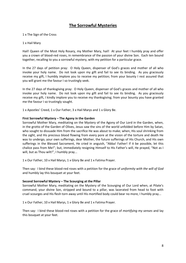## **The Sorrowful Mysteries**

#### 1 x The Sign of the Cross

#### 1 x Hail Mary

Hail! Queen of the Most Holy Rosary, my Mother Mary, hail! At your feet I humbly pray and offer you a crown of blood-red roses, in remembrance of the passion of your divine Son. Each ten bound together, recalling to you a sorrowful mystery, with my petition for a particular grace.

In the 27 days of petition pray: O Holy Queen, dispenser of God's graces and mother of all who invoke your holy name. Do not look upon my gift and fail to see its binding. As you graciously receive my gift, I humbly implore you to receive my petition; from your bounty I rest assured that you will grant me the favour I so trustingly seek.

In the 27 days of thanksgiving pray: O Holy Queen, dispenser of God's graces and mother of all who invoke your holy name. Do not look upon my gift and fail to see its binding. As you graciously receive my gift, I kindly implore you to receive my thanksgiving; from your bounty you have granted me the favour I so trustingly sought.

1 x Apostles' Creed, 1 x Our Father, 3 x Hail Marys and 1 x Glory Be.

#### **First Sorrowful Mystery – The Agony in the Garden**

Sorrowful Mother Mary, meditating on the Mystery of the Agony of Our Lord in the Garden, when, in the grotto of the Garden of Olives, Jesus saw the sins of the world unfolded before Him by Satan, who sought to dissuade Him from the sacrifice He was about to make; when, His soul shrinking from the sight, and His precious blood flowing from every pore at the vision of the torture and death He was to undergo, your own sufferings, dear Mother, the future sufferings of His Church, and His own sufferings in the Blessed Sacrament, He cried in anguish, "Abba! Father! If it be possible, let this chalice pass from Me!"; but, immediately resigning Himself to His Father's will, He prayed, "Not as I will, but as Thou wilt!", I humbly pray...

1 x Our Father, 10 x Hail Marys, 1 x Glory Be and 1 x Fatima Prayer.

Then say: I bind these blood-red roses with a petition for the grace of *uniformity with the will of God* and humbly lay this bouquet at your feet.

#### **Second Sorrowful Mystery – The Scourging at the Pillar**

Sorrowful Mother Mary, meditating on the Mystery of the Scourging of Our Lord when, at Pilate's command, your divine Son, stripped and bound to a pillar, was lacerated from head to foot with cruel scourges and His flesh torn away until His mortified body could bear no more, I humbly pray...

1 x Our Father, 10 x Hail Marys, 1 x Glory Be and 1 x Fatima Prayer.

Then say: I bind these blood-red roses with a petition for the grace of *mortifying my senses* and lay this bouquet at your feet.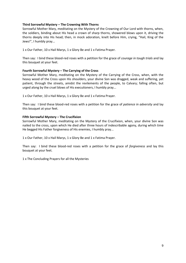#### **Third Sorrowful Mystery – The Crowning With Thorns**

Sorrowful Mother Mary, meditating on the Mystery of the Crowning of Our Lord with thorns, when, the soldiers, binding about His head a crown of sharp thorns, showered blows upon it, driving the thorns deeply into His head; then, in mock adoration, knelt before Him, crying, "Hail, King of the Jews!", I humbly pray...

1 x Our Father, 10 x Hail Marys, 1 x Glory Be and 1 x Fatima Prayer.

Then say: I bind these blood-red roses with a petition for the grace of *courage in tough trials* and lay this bouquet at your feet.

#### **Fourth Sorrowful Mystery – The Carrying of the Cross**

Sorrowful Mother Mary, meditating on the Mystery of the Carrying of the Cross, when, with the heavy wood of the Cross upon His shoulders, your divine Son was dragged, weak and suffering, yet patient, through the streets, amidst the revilements of the people, to Calvary; falling often, but urged along by the cruel blows of His executioners, I humbly pray...

1 x Our Father, 10 x Hail Marys, 1 x Glory Be and 1 x Fatima Prayer.

Then say: I bind these blood-red roses with a petition for the grace of *patience in adversity* and lay this bouquet at your feet.

#### **Fifth Sorrowful Mystery – The Crucifixion**

Sorrowful Mother Mary, meditating on the Mystery of the Crucifixion, when, your divine Son was nailed to the cross, upon which He died after three hours of indescribable agony, during which time He begged His Father forgiveness of His enemies, I humbly pray...

1 x Our Father, 10 x Hail Marys, 1 x Glory Be and 1 x Fatima Prayer.

Then say: I bind these blood-red roses with a petition for the grace of *forgiveness* and lay this bouquet at your feet.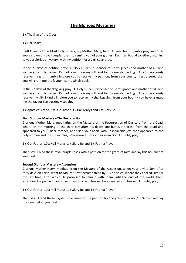## **The Glorious Mysteries**

#### 1 x The Sign of the Cross

#### 1 x Hail Mary

Hail! Queen of the Most Holy Rosary, my Mother Mary, hail! At your feet I humbly pray and offer you a crown of royal-purple roses, to remind you of your glories. Each ten bound together, recalling to you a glorious mystery, with my petition for a particular grace.

In the 27 days of petition pray: O Holy Queen, dispenser of God's graces and mother of all who invoke your holy name. Do not look upon my gift and fail to see its binding. As you graciously receive my gift, I humbly implore you to receive my petition; from your bounty I rest assured that you will grant me the favour I so trustingly seek.

In the 27 days of thanksgiving pray: O Holy Queen, dispenser of God's graces and mother of all who invoke your holy name. Do not look upon my gift and fail to see its binding. As you graciously receive my gift, I kindly implore you to receive my thanksgiving; from your bounty you have granted me the favour I so trustingly sought.

1 x Apostles' Creed, 1 x Our Father, 3 x Hail Marys and 1 x Glory Be.

#### **First Glorious Mystery – The Resurrection**

Glorious Mother Mary, meditating on the Mystery of the Resurrection of Our Lord from the Dead, when, on the morning of the third day after His death and burial, He arose from the dead and appeared to you<sup>vii</sup>, dear Mother, and filled your heart with unspeakable joy; then appeared to the holy women and to His disciples, who adored Him as their risen God, I humbly pray...

1 x Our Father, 10 x Hail Marys, 1 x Glory Be and 1 x Fatima Prayer.

Then say: I bind these royal-purple roses with a petition for the grace of *faith* and lay this bouquet at your feet.

#### **Second Glorious Mystery – Ascension**

Glorious Mother Mary, meditating on the Mystery of the Ascension, when your divine Son, after forty days on Earth, went to Mount Olivet accompanied by His disciples, where they adored Him for the last time, after which He promised to remain with them until the end of the world; then, extending His pierced hands over them in a last blessing, He ascended into heaven, I humbly pray...

1 x Our Father, 10 x Hail Marys, 1 x Glory Be and 1 x Fatima Prayer.

Then say: I bind these royal-purple roses with a petition for the grace of *desire for Heaven* and lay this bouquet at your feet.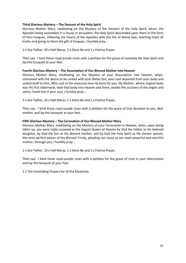#### **Third Glorious Mystery – The Descent of the Holy Spirit**

Glorious Mother Mary, meditating on the Mystery of the Descent of the Holy Spirit, when, the Apostles being assembled in a house in Jerusalem, the Holy Spirit descended upon them in the form of fiery tongues, inflaming the hearts of the Apostles with the fire of divine love, teaching them all truths and giving to them the gift of tongues, I humbly pray...

1 x Our Father, 10 x Hail Marys, 1 x Glory Be and 1 x Fatima Prayer.

Then say: I bind these royal-purple roses with a petition for the grace of *receiving the Holy Spirit* and lay this bouquet at your feet.

#### **Fourth Glorious Mystery – The Assumption of Our Blessed Mother Into Heaven**

Glorious Mother Mary, meditating on the Mystery of your Assumption into Heaven, when, consumed with the desire to be united with your divine Son, your soul departed from your body and united itself to Him, Who, out of the excessive love He bore for you, His Mother, whose virginal body was His first tabernacle, took that body into Heaven and there, amidst the acclaims of the angels and saints, fused into it your soul, I humbly pray...

1 x Our Father, 10 x Hail Marys, 1 x Glory Be and 1 x Fatima Prayer.

Then say: I bind these royal-purple roses with a petition for the grace of *true devotion to you, dear mother*, and lay this bouquet at your feet.

#### **Fifth Glorious Mystery – The Coronation of Our Blessed Mother Mary**

Glorious Mother Mary, meditating on the Mystery of your Coronation in Heaven, when, upon being taken up, you were triply crowned as the August Queen of Heaven by God the Father as His beloved daughter, by God the Son as His dearest mother, and by God the Holy Spirit as His chosen spouse; the most perfect adorer of the Blessed Trinity, pleading our cause as our most powerful and merciful mother, through you, I humbly pray...

1 x Our Father, 10 x Hail Marys, 1 x Glory Be and 1 x Fatima Prayer.

Then say: I bind these royal-purple roses with a petition for the grace of *trust in your intercession* and lay this bouquet at your feet.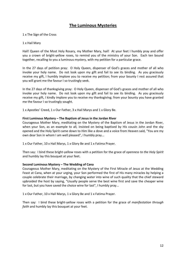## **The Luminous Mysteries**

1 x The Sign of the Cross

#### 1 x Hail Mary

Hail! Queen of the Most Holy Rosary, my Mother Mary, hail! At your feet I humbly pray and offer you a crown of bright-yellow roses, to remind you of the ministry of your Son. Each ten bound together, recalling to you a luminous mystery, with my petition for a particular grace.

In the 27 days of petition pray: O Holy Queen, dispenser of God's graces and mother of all who invoke your holy name. Do not look upon my gift and fail to see its binding. As you graciously receive my gift, I humbly implore you to receive my petition; from your bounty I rest assured that you will grant me the favour I so trustingly seek.

In the 27 days of thanksgiving pray: O Holy Queen, dispenser of God's graces and mother of all who invoke your holy name. Do not look upon my gift and fail to see its binding. As you graciously receive my gift, I kindly implore you to receive my thanksgiving; from your bounty you have granted me the favour I so trustingly sought.

1 x Apostles' Creed, 1 x Our Father, 3 x Hail Marys and 1 x Glory Be.

#### **First Luminous Mystery – The Baptism of Jesus in the Jordan River**

Courageous Mother Mary, meditating on the Mystery of the Baptism of Jesus in the Jordan River, when your Son, as an example to all, insisted on being baptised by His cousin John and the sky opened and the Holy Spirit came down to Him like a dove and a voice from Heaven said, "You are my own dear Son in whom I am well pleased", I humbly pray...

1 x Our Father, 10 x Hail Marys, 1 x Glory Be and 1 x Fatima Prayer.

Then say: I bind these bright-yellow roses with a petition for the grace of *openness to the Holy Spirit* and humbly lay this bouquet at your feet.

#### **Second Luminous Mystery – The Wedding of Cana**

Courageous Mother Mary, meditating on the Mystery of the First Miracle of Jesus at the Wedding Feast at Cana, when at your urging, your Son performed the first of His many miracles by helping a couple celebrate their marriage, by changing water into wine of such quality that the chief steward upbraided the host by saying, "Usually people serve the best wine first and save the cheaper wine for last, but you have saved the choice wine for last", I humbly pray...

1 x Our Father, 10 x Hail Marys, 1 x Glory Be and 1 x Fatima Prayer.

Then say: I bind these bright-yellow roses with a petition for the grace of *manifestation through faith* and humbly lay this bouquet at your feet.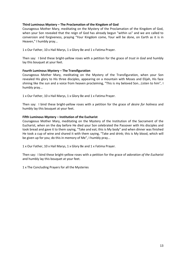#### **Third Luminous Mystery – The Proclamation of the Kingdom of God**

Courageous Mother Mary, meditating on the Mystery of the Proclamation of the Kingdom of God, when your Son revealed that the reign of God has already begun "within us" and we are called to conversion and forgiveness, praying "Your Kingdom come, Your will be done, on Earth as it is in Heaven," I humbly pray...

1 x Our Father, 10 x Hail Marys, 1 x Glory Be and 1 x Fatima Prayer.

Then say: I bind these bright-yellow roses with a petition for the grace of *trust in God* and humbly lay this bouquet at your feet.

#### **Fourth Luminous Mystery – The Transfiguration**

Courageous Mother Mary, meditating on the Mystery of the Transfiguration, when your Son revealed His glory to His three disciples, appearing on a mountain with Moses and Elijah, His face shining like the sun and a voice from heaven proclaiming, "This is my beloved Son...Listen to him", I humbly pray...

1 x Our Father, 10 x Hail Marys, 1 x Glory Be and 1 x Fatima Prayer.

Then say: I bind these bright-yellow roses with a petition for the grace of *desire for holiness* and humbly lay this bouquet at your feet.

#### **Fifth Luminous Mystery – Institution of the Eucharist**

Courageous Mother Mary, meditating on the Mystery of the Institution of the Sacrament of the Eucharist, when on the day before He died your Son celebrated the Passover with His disciples and took bread and gave it to them saying, "Take and eat; this is My body" and when dinner was finished He took a cup of wine and shared it with them saying, "Take and drink; this is My blood, which will be given up for you; do this in memory of Me", I humbly pray...

1 x Our Father, 10 x Hail Marys, 1 x Glory Be and 1 x Fatima Prayer.

Then say: I bind these bright-yellow roses with a petition for the grace of *adoration of the Eucharist* and humbly lay this bouquet at your feet.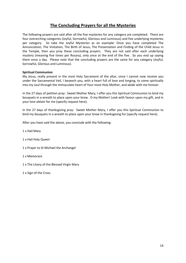## **The Concluding Prayers for all the Mysteries**

The following prayers are said after all the five mysteries for any category are completed. There are four overarching categories (Joyful, Sorrowful, Glorious and Luminous) and five underlying mysteries per category. So take the Joyful Mysteries as an example: Once you have completed The Annunciation, The Visitation, The Birth of Jesus, The Presentation and Finding of the Child Jesus in the Temple, then you pray these concluding prayers. They are not said after each underlying mystery (meaning five times per Rosary), only once at the end of the five. So you end up saying them once a day. Please note that the concluding prayers are the same for any category (Joyful, Sorrowful, Glorious and Luminous).

#### **Spiritual Communion**

My Jesus, really present in the most Holy Sacrament of the altar, since I cannot now receive you under the Sacramental Veil, I beseech you, with a heart full of love and longing, to come spiritually into my soul through the immaculate heart of Your most Holy Mother, and abide with me forever.

In the 27 days of petition pray: Sweet Mother Mary, I offer you this Spiritual Communion to bind my bouquets in a wreath to place upon your brow. O my Mother! Look with favour upon my gift, and in your love obtain for me (specify request here).

In the 27 days of thanksgiving pray: Sweet Mother Mary, I offer you this Spiritual Communion to bind my bouquets in a wreath to place upon your brow in thanksgiving for (specify request here).

After you have said the above, you conclude with the following:

1 x Hail Mary

- 1 x Hail Holy Queen
- 1 x Prayer to St Michael the Archangel
- 1 x Memorare
- 1 x The Litany of the Blessed Virgin Mary

1 x Sign of the Cross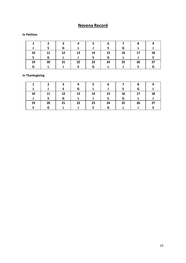## **Novena Record**

#### **In Petition**

|    |    | З  | Δ  |    | 6  |    | 8  | 9  |
|----|----|----|----|----|----|----|----|----|
|    |    | G  |    |    |    | G  |    |    |
| 10 | 11 | 12 | 13 | 14 | 15 | 16 | 17 | 18 |
|    | G  |    |    |    | G  |    |    |    |
| 19 | 20 | 21 | 22 | 23 | 24 | 25 | 26 | 27 |
| G  |    |    |    | G  |    |    |    | G  |

### **In Thanksgiving**

|    |    | э  |    |    | ь  |    |    |    |
|----|----|----|----|----|----|----|----|----|
|    |    |    | G  |    |    |    | G  |    |
| 10 | 11 | 12 | 13 | 14 | 15 | 16 | 17 | 18 |
|    |    | G  |    |    |    | G  |    |    |
| 19 | 20 | 21 | 22 | 23 | 24 | 25 | 26 | 27 |
|    | G  |    |    |    | G  |    |    |    |